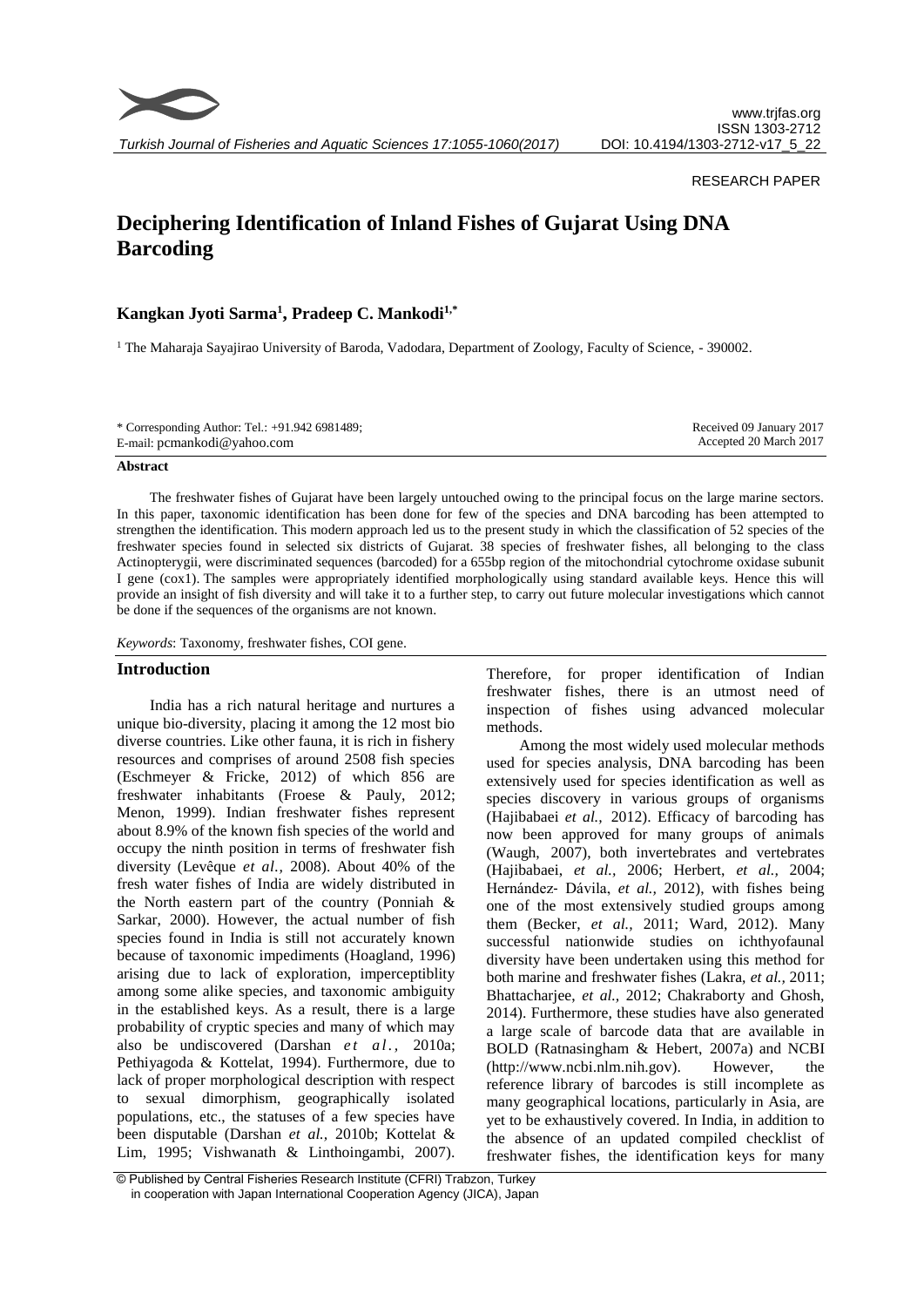

*Turkish Journal of Fisheries and Aquatic Sciences 17:1055-1060(2017)*

# RESEARCH PAPER

# **Deciphering Identification of Inland Fishes of Gujarat Using DNA Barcoding**

# **Kangkan Jyoti Sarma<sup>1</sup> , Pradeep C. Mankodi1,\***

<sup>1</sup> The Maharaja Sayajirao University of Baroda, Vadodara, Department of Zoology, Faculty of Science, - 390002.

| * Corresponding Author: Tel.: +91.942 6981489; | Received 09 January 2017 |
|------------------------------------------------|--------------------------|
| E-mail: pcmankodi@yahoo.com                    | Accepted 20 March 2017   |

#### **Abstract**

The freshwater fishes of Gujarat have been largely untouched owing to the principal focus on the large marine sectors. In this paper, taxonomic identification has been done for few of the species and DNA barcoding has been attempted to strengthen the identification. This modern approach led us to the present study in which the classification of 52 species of the freshwater species found in selected six districts of Gujarat. 38 species of freshwater fishes, all belonging to the class Actinopterygii, were discriminated sequences (barcoded) for a 655bp region of the mitochondrial cytochrome oxidase subunit I gene (cox1). The samples were appropriately identified morphologically using standard available keys. Hence this will provide an insight of fish diversity and will take it to a further step, to carry out future molecular investigations which cannot be done if the sequences of the organisms are not known.

*Keywords*: Taxonomy, freshwater fishes, COI gene.

### **Introduction**

India has a rich natural heritage and nurtures a unique bio-diversity, placing it among the 12 most bio diverse countries. Like other fauna, it is rich in fishery resources and comprises of around 2508 fish species (Eschmeyer & Fricke, 2012) of which 856 are freshwater inhabitants (Froese & Pauly, 2012; Menon, 1999). Indian freshwater fishes represent about 8.9% of the known fish species of the world and occupy the ninth position in terms of freshwater fish diversity (Levêque *et al.,* 2008). About 40% of the fresh water fishes of India are widely distributed in the North eastern part of the country (Ponniah & Sarkar, 2000). However, the actual number of fish species found in India is still not accurately known because of taxonomic impediments (Hoagland, 1996) arising due to lack of exploration, imperceptiblity among some alike species, and taxonomic ambiguity in the established keys. As a result, there is a large probability of cryptic species and many of which may also be undiscovered (Darshan *et al.*, 2010a; Pethiyagoda & Kottelat, 1994). Furthermore, due to lack of proper morphological description with respect to sexual dimorphism, geographically isolated populations, etc., the statuses of a few species have been disputable (Darshan *et al.,* 2010b; Kottelat & Lim, 1995; Vishwanath & Linthoingambi, 2007). Therefore, for proper identification of Indian freshwater fishes, there is an utmost need of inspection of fishes using advanced molecular methods.

Among the most widely used molecular methods used for species analysis, DNA barcoding has been extensively used for species identification as well as species discovery in various groups of organisms (Hajibabaei *et al.,* 2012). Efficacy of barcoding has now been approved for many groups of animals (Waugh, 2007), both invertebrates and vertebrates (Hajibabaei, *et al.,* 2006; Herbert, *et al.,* 2004; Hernández‐ Dávila, *et al.,* 2012), with fishes being one of the most extensively studied groups among them (Becker, *et al.,* 2011; Ward, 2012). Many successful nationwide studies on ichthyofaunal diversity have been undertaken using this method for both marine and freshwater fishes (Lakra, *et al.,* 2011; Bhattacharjee, *et al.,* 2012; Chakraborty and Ghosh, 2014). Furthermore, these studies have also generated a large scale of barcode data that are available in BOLD (Ratnasingham & Hebert, 2007a) and NCBI  $(http://www.ncbi.nlm.nih.gov).$  However, reference library of barcodes is still incomplete as many geographical locations, particularly in Asia, are yet to be exhaustively covered. In India, in addition to the absence of an updated compiled checklist of freshwater fishes, the identification keys for many

<sup>©</sup> Published by Central Fisheries Research Institute (CFRI) Trabzon, Turkey in cooperation with Japan International Cooperation Agency (JICA), Japan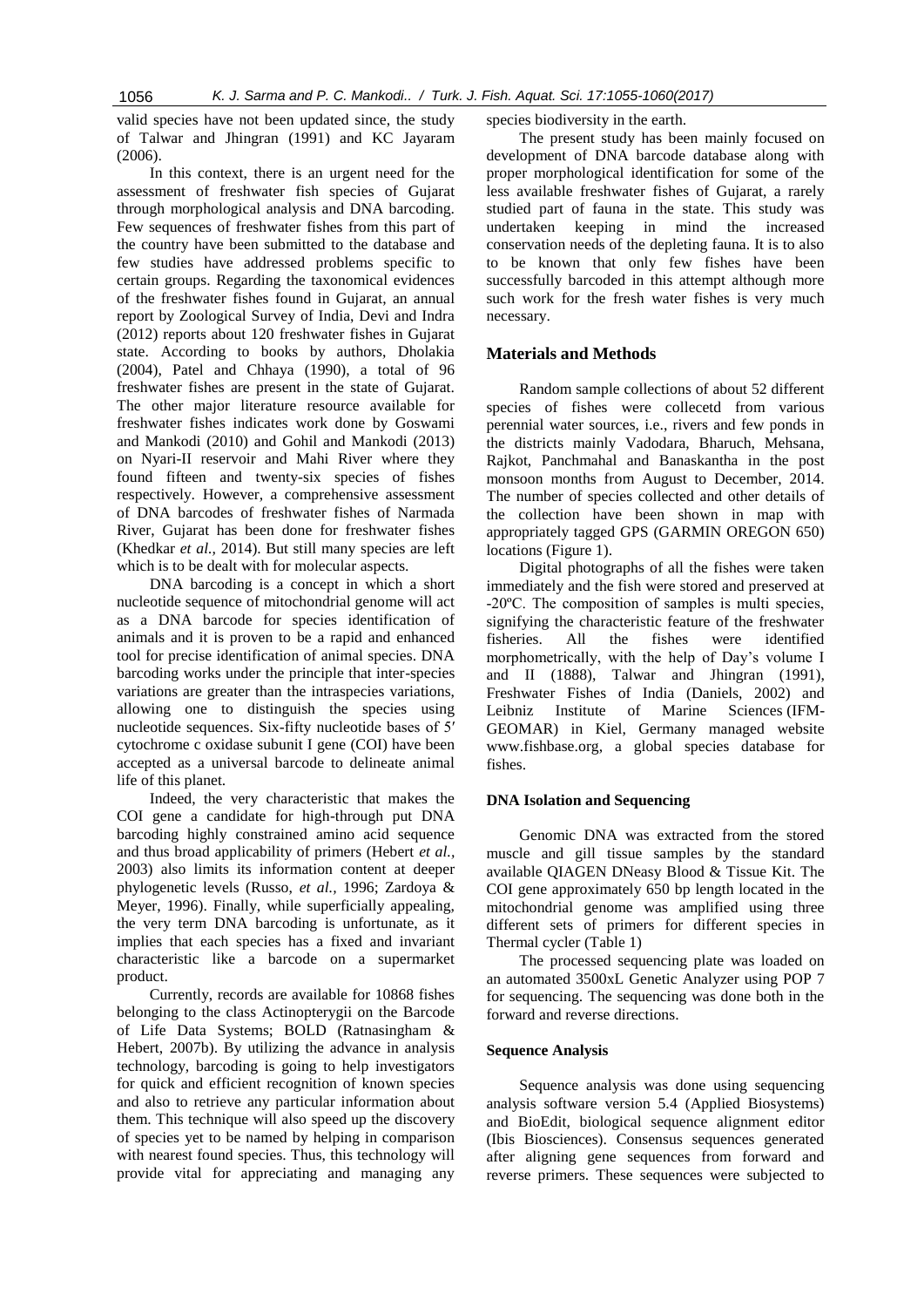valid species have not been updated since, the study of Talwar and Jhingran (1991) and KC Jayaram (2006).

In this context, there is an urgent need for the assessment of freshwater fish species of Gujarat through morphological analysis and DNA barcoding. Few sequences of freshwater fishes from this part of the country have been submitted to the database and few studies have addressed problems specific to certain groups. Regarding the taxonomical evidences of the freshwater fishes found in Gujarat, an annual report by Zoological Survey of India, Devi and Indra (2012) reports about 120 freshwater fishes in Gujarat state. According to books by authors, Dholakia (2004), Patel and Chhaya (1990), a total of 96 freshwater fishes are present in the state of Gujarat. The other major literature resource available for freshwater fishes indicates work done by Goswami and Mankodi (2010) and Gohil and Mankodi (2013) on Nyari-II reservoir and Mahi River where they found fifteen and twenty-six species of fishes respectively. However, a comprehensive assessment of DNA barcodes of freshwater fishes of Narmada River, Gujarat has been done for freshwater fishes (Khedkar *et al.,* 2014). But still many species are left which is to be dealt with for molecular aspects.

DNA barcoding is a concept in which a short nucleotide sequence of mitochondrial genome will act as a DNA barcode for species identification of animals and it is proven to be a rapid and enhanced tool for precise identification of animal species. DNA barcoding works under the principle that inter-species variations are greater than the intraspecies variations, allowing one to distinguish the species using nucleotide sequences. Six-fifty nucleotide bases of 5′ cytochrome c oxidase subunit I gene (COI) have been accepted as a universal barcode to delineate animal life of this planet.

Indeed, the very characteristic that makes the COI gene a candidate for high-through put DNA barcoding highly constrained amino acid sequence and thus broad applicability of primers (Hebert *et al.,* 2003) also limits its information content at deeper phylogenetic levels (Russo, *et al.,* 1996; Zardoya & Meyer, 1996). Finally, while superficially appealing, the very term DNA barcoding is unfortunate, as it implies that each species has a fixed and invariant characteristic like a barcode on a supermarket product.

Currently, records are available for 10868 fishes belonging to the class Actinopterygii on the Barcode of Life Data Systems; BOLD (Ratnasingham & Hebert, 2007b). By utilizing the advance in analysis technology, barcoding is going to help investigators for quick and efficient recognition of known species and also to retrieve any particular information about them. This technique will also speed up the discovery of species yet to be named by helping in comparison with nearest found species. Thus, this technology will provide vital for appreciating and managing any species biodiversity in the earth.

The present study has been mainly focused on development of DNA barcode database along with proper morphological identification for some of the less available freshwater fishes of Gujarat, a rarely studied part of fauna in the state. This study was undertaken keeping in mind the increased conservation needs of the depleting fauna. It is to also to be known that only few fishes have been successfully barcoded in this attempt although more such work for the fresh water fishes is very much necessary.

# **Materials and Methods**

Random sample collections of about 52 different species of fishes were collecetd from various perennial water sources, i.e., rivers and few ponds in the districts mainly Vadodara, Bharuch, Mehsana, Rajkot, Panchmahal and Banaskantha in the post monsoon months from August to December, 2014. The number of species collected and other details of the collection have been shown in map with appropriately tagged GPS (GARMIN OREGON 650) locations (Figure 1).

Digital photographs of all the fishes were taken immediately and the fish were stored and preserved at -20ºC. The composition of samples is multi species, signifying the characteristic feature of the freshwater fisheries. All the fishes were identified morphometrically, with the help of Day's volume I and II (1888), Talwar and Jhingran (1991), Freshwater Fishes of India (Daniels, 2002) and [Leibniz Institute of Marine Sciences](https://en.wikipedia.org/wiki/Leibniz_Institute_of_Marine_Sciences) (IFM-GEOMAR) in Kiel, Germany managed website [www.fishbase.org,](http://www.fishbase.org/) a global species database for fishes.

### **DNA Isolation and Sequencing**

Genomic DNA was extracted from the stored muscle and gill tissue samples by the standard available QIAGEN DNeasy Blood & Tissue Kit. The COI gene approximately 650 bp length located in the mitochondrial genome was amplified using three different sets of primers for different species in Thermal cycler (Table 1)

The processed sequencing plate was loaded on an automated 3500xL Genetic Analyzer using POP 7 for sequencing. The sequencing was done both in the forward and reverse directions.

#### **Sequence Analysis**

Sequence analysis was done using sequencing analysis software version 5.4 (Applied Biosystems) and BioEdit, biological sequence alignment editor (Ibis Biosciences). Consensus sequences generated after aligning gene sequences from forward and reverse primers. These sequences were subjected to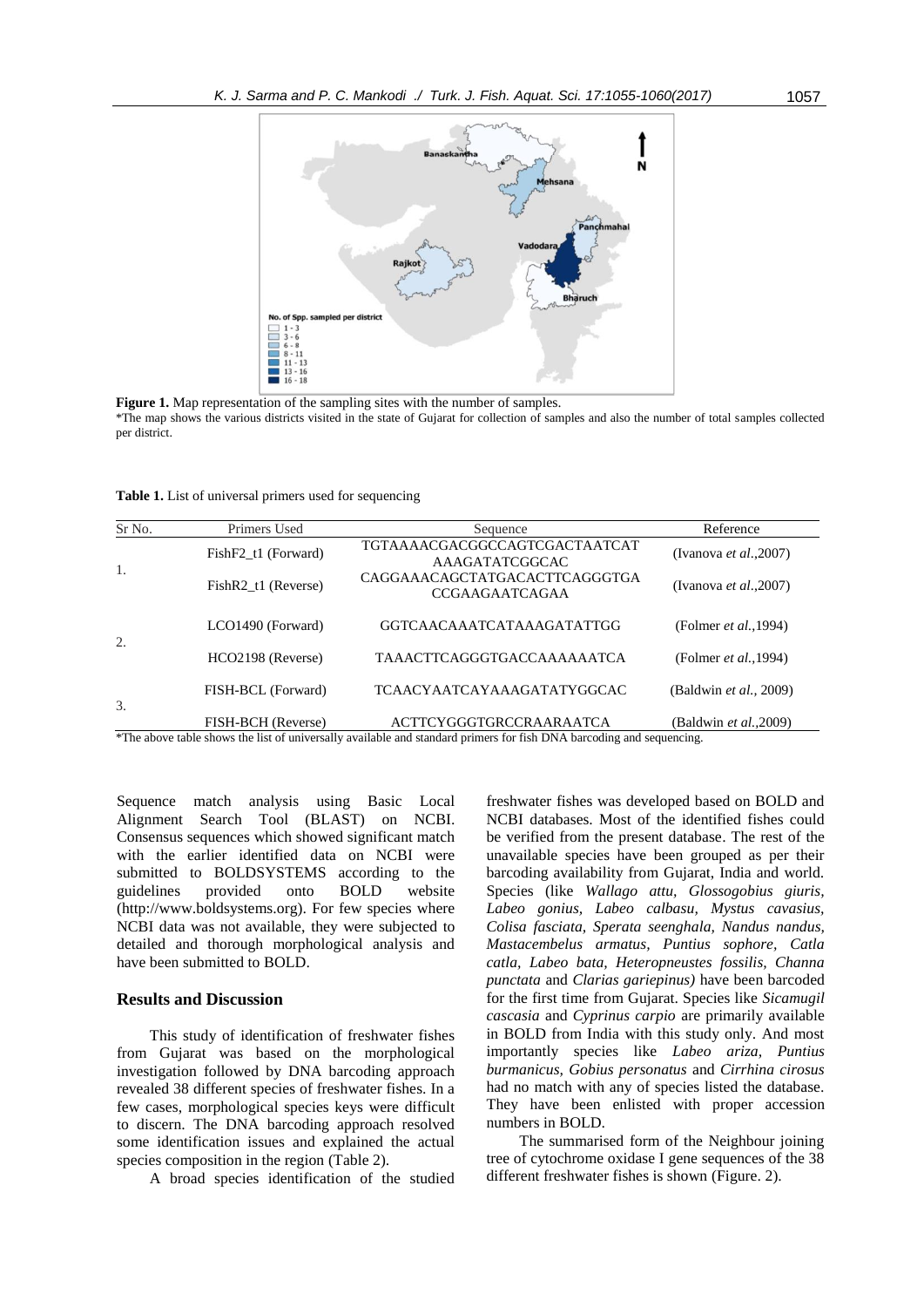

Figure 1. Map representation of the sampling sites with the number of samples.

\*The map shows the various districts visited in the state of Gujarat for collection of samples and also the number of total samples collected per district.

**Table 1.** List of universal primers used for sequencing

| Sr No. | Primers Used        | Sequence                                               | Reference                      |  |  |
|--------|---------------------|--------------------------------------------------------|--------------------------------|--|--|
| 1.     | FishF2 t1 (Forward) | TGTAAAACGACGGCCAGTCGACTAATCAT<br>AAAGATATCGGCAC        | (Ivanova <i>et al.</i> , 2007) |  |  |
|        | FishR2 t1 (Reverse) | CAGGAAACAGCTATGACACTTCAGGGTGA<br><b>CCGAAGAATCAGAA</b> | (Ivanova et al., 2007)         |  |  |
| 2.     | LCO1490 (Forward)   | GGTCAACAAATCATAAAGATATTGG                              | (Folmer et al., 1994)          |  |  |
|        | HCO2198 (Reverse)   | <b>TAAACTTCAGGGTGACCAAAAAATCA</b>                      | (Folmer et al., 1994)          |  |  |
| 3.     | FISH-BCL (Forward)  | <b>TCAACYAATCAYAAAGATATYGGCAC</b>                      | (Baldwin et al., 2009)         |  |  |
|        | FISH-BCH (Reverse)  | <b>ACTTCYGGGTGRCCRAARAATCA</b>                         | (Baldwin et al., 2009)         |  |  |

\*The above table shows the list of universally available and standard primers for fish DNA barcoding and sequencing.

Sequence match analysis using Basic Local Alignment Search Tool (BLAST) on NCBI. Consensus sequences which showed significant match with the earlier identified data on NCBI were submitted to BOLDSYSTEMS according to the guidelines provided onto BOLD website [\(http://www.boldsystems.org\)](http://www.boldsystems.org/). For few species where NCBI data was not available, they were subjected to detailed and thorough morphological analysis and have been submitted to BOLD.

### **Results and Discussion**

This study of identification of freshwater fishes from Gujarat was based on the morphological investigation followed by DNA barcoding approach revealed 38 different species of freshwater fishes. In a few cases, morphological species keys were difficult to discern. The DNA barcoding approach resolved some identification issues and explained the actual species composition in the region (Table 2).

A broad species identification of the studied

freshwater fishes was developed based on BOLD and NCBI databases. Most of the identified fishes could be verified from the present database. The rest of the unavailable species have been grouped as per their barcoding availability from Gujarat, India and world. Species (like *Wallago attu, Glossogobius giuris, Labeo gonius, Labeo calbasu, Mystus cavasius, Colisa fasciata, Sperata seenghala, Nandus nandus, Mastacembelus armatus, Puntius sophore, Catla catla, Labeo bata, Heteropneustes fossilis, Channa punctata* and *Clarias gariepinus)* have been barcoded for the first time from Gujarat. Species like *Sicamugil cascasia* and *Cyprinus carpio* are primarily available in BOLD from India with this study only. And most importantly species like *Labeo ariza, Puntius burmanicus, Gobius personatus* and *Cirrhina cirosus* had no match with any of species listed the database. They have been enlisted with proper accession numbers in BOLD.

The summarised form of the Neighbour joining tree of cytochrome oxidase I gene sequences of the 38 different freshwater fishes is shown (Figure. 2).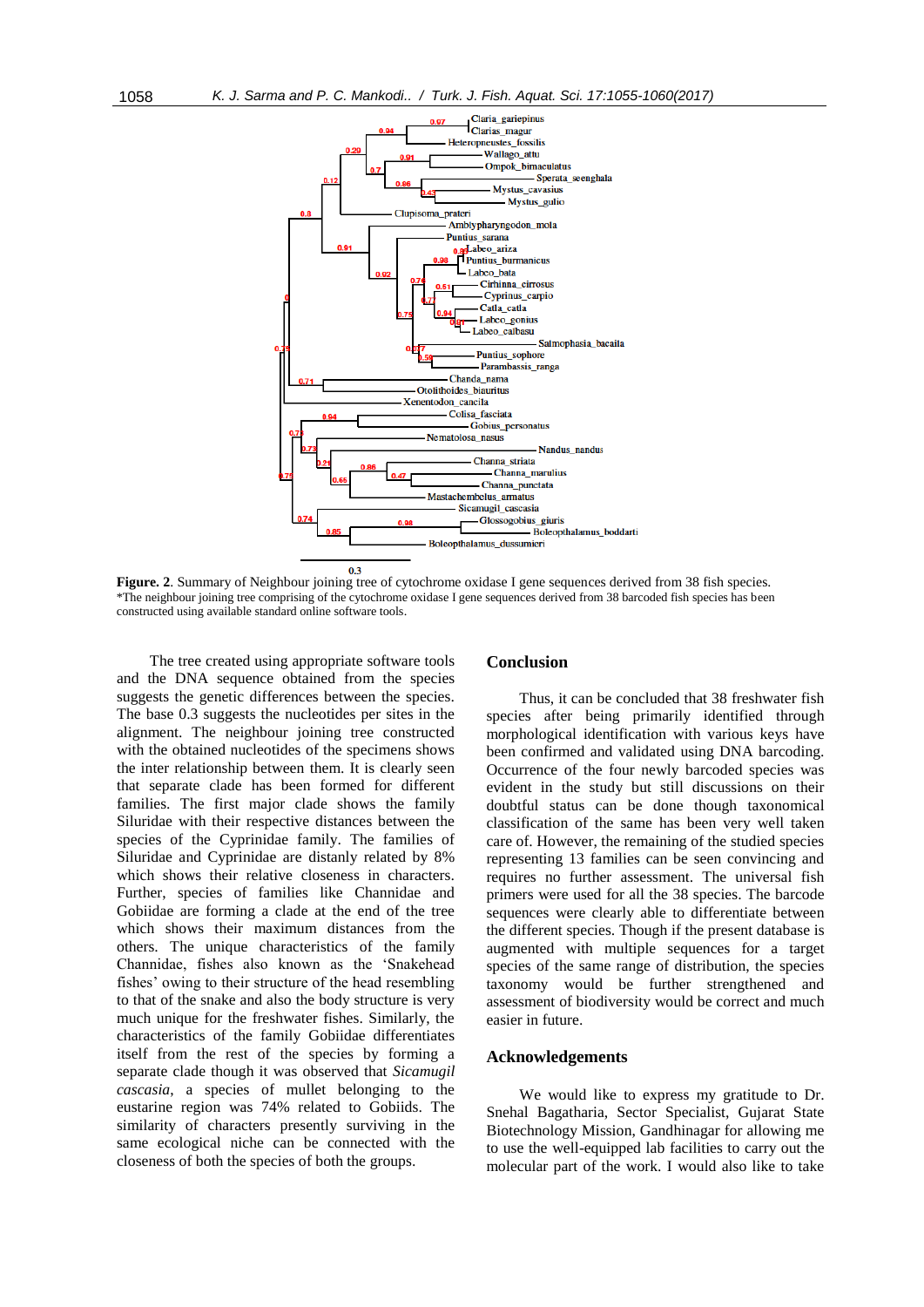

**Figure. 2.** Summary of Neighbour joining tree of cytochrome oxidase I gene sequences derived from 38 fish species. \*The neighbour joining tree comprising of the cytochrome oxidase I gene sequences derived from 38 barcoded fish species has been constructed using available standard online software tools.

The tree created using appropriate software tools and the DNA sequence obtained from the species suggests the genetic differences between the species. The base 0.3 suggests the nucleotides per sites in the alignment. The neighbour joining tree constructed with the obtained nucleotides of the specimens shows the inter relationship between them. It is clearly seen that separate clade has been formed for different families. The first major clade shows the family Siluridae with their respective distances between the species of the Cyprinidae family. The families of Siluridae and Cyprinidae are distanly related by 8% which shows their relative closeness in characters. Further, species of families like Channidae and Gobiidae are forming a clade at the end of the tree which shows their maximum distances from the others. The unique characteristics of the family Channidae, fishes also known as the 'Snakehead fishes' owing to their structure of the head resembling to that of the snake and also the body structure is very much unique for the freshwater fishes. Similarly, the characteristics of the family Gobiidae differentiates itself from the rest of the species by forming a separate clade though it was observed that *Sicamugil cascasia*, a species of mullet belonging to the eustarine region was 74% related to Gobiids. The similarity of characters presently surviving in the same ecological niche can be connected with the closeness of both the species of both the groups.

### **Conclusion**

Thus, it can be concluded that 38 freshwater fish species after being primarily identified through morphological identification with various keys have been confirmed and validated using DNA barcoding. Occurrence of the four newly barcoded species was evident in the study but still discussions on their doubtful status can be done though taxonomical classification of the same has been very well taken care of. However, the remaining of the studied species representing 13 families can be seen convincing and requires no further assessment. The universal fish primers were used for all the 38 species. The barcode sequences were clearly able to differentiate between the different species. Though if the present database is augmented with multiple sequences for a target species of the same range of distribution, the species taxonomy would be further strengthened and assessment of biodiversity would be correct and much easier in future.

#### **Acknowledgements**

We would like to express my gratitude to Dr. Snehal Bagatharia, Sector Specialist, Gujarat State Biotechnology Mission, Gandhinagar for allowing me to use the well-equipped lab facilities to carry out the molecular part of the work. I would also like to take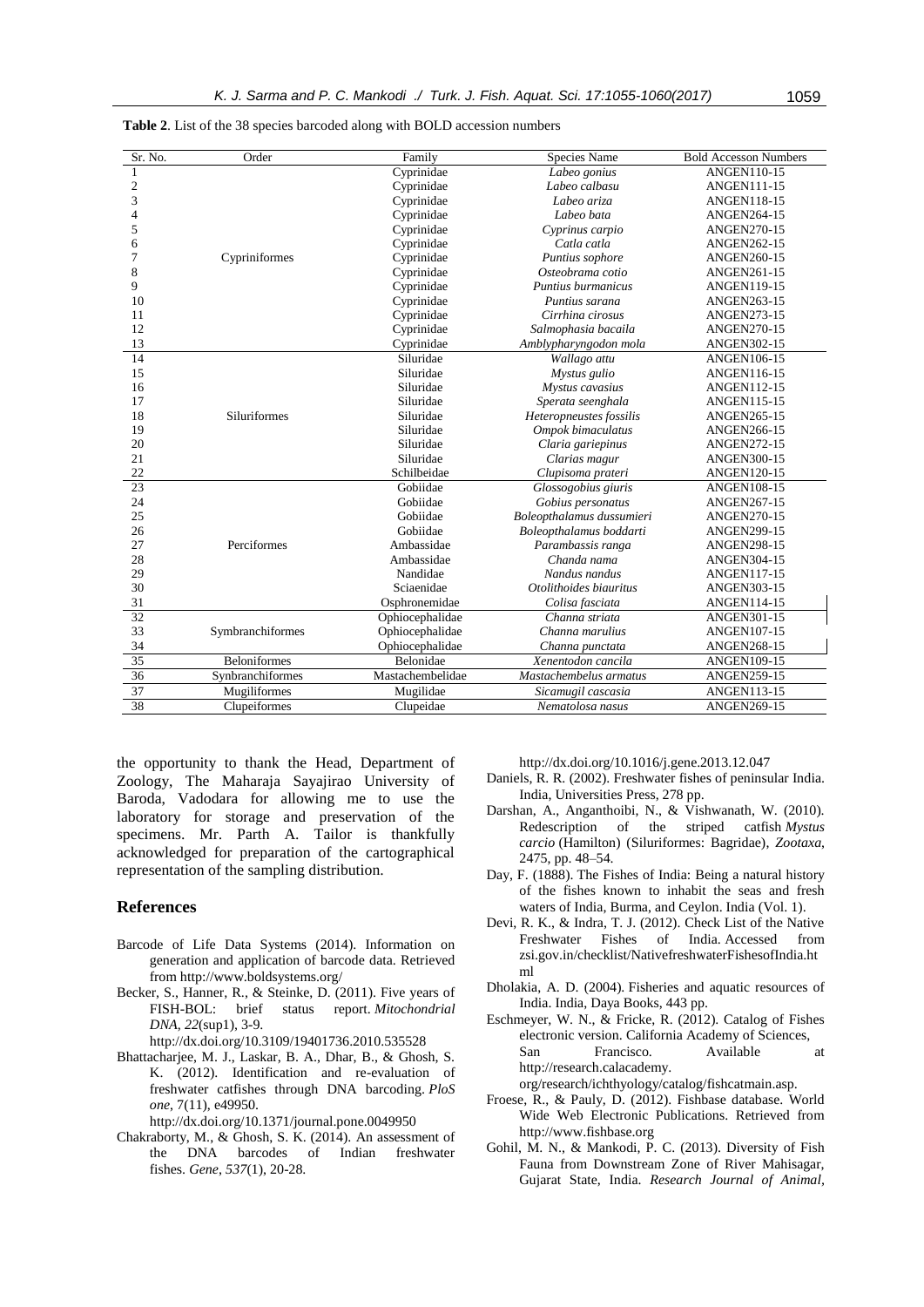| Sr. No.        | Order               | Family           | Species Name              | <b>Bold Accesson Numbers</b> |
|----------------|---------------------|------------------|---------------------------|------------------------------|
| 1              |                     | Cyprinidae       | Labeo gonius              | <b>ANGEN110-15</b>           |
| $\overline{c}$ |                     | Cyprinidae       | Labeo calbasu             | ANGEN111-15                  |
| $\overline{3}$ |                     | Cyprinidae       | Labeo ariza               | <b>ANGEN118-15</b>           |
| 4              |                     | Cyprinidae       | Labeo bata                | <b>ANGEN264-15</b>           |
| 5              |                     | Cyprinidae       | Cyprinus carpio           | <b>ANGEN270-15</b>           |
| 6              |                     | Cyprinidae       | Catla catla               | ANGEN262-15                  |
| 7              | Cypriniformes       | Cyprinidae       | Puntius sophore           | ANGEN260-15                  |
| 8              |                     | Cyprinidae       | Osteobrama cotio          | ANGEN261-15                  |
| 9              |                     | Cyprinidae       | Puntius burmanicus        | <b>ANGEN119-15</b>           |
| 10             |                     | Cyprinidae       | Puntius sarana            | ANGEN263-15                  |
| 11             |                     | Cyprinidae       | Cirrhina cirosus          | ANGEN273-15                  |
| 12             |                     | Cyprinidae       | Salmophasia bacaila       | <b>ANGEN270-15</b>           |
| 13             |                     | Cyprinidae       | Amblypharyngodon mola     | ANGEN302-15                  |
| 14             |                     | Siluridae        | Wallago attu              | ANGEN106-15                  |
| 15             |                     | Siluridae        | Mystus gulio              | ANGEN116-15                  |
| 16             |                     | Siluridae        | Mystus cavasius           | <b>ANGEN112-15</b>           |
| 17             |                     | Siluridae        | Sperata seenghala         | ANGEN115-15                  |
| 18             | Siluriformes        | Siluridae        | Heteropneustes fossilis   | ANGEN265-15                  |
| 19             |                     | Siluridae        | Ompok bimaculatus         | <b>ANGEN266-15</b>           |
| 20             |                     | Siluridae        | Claria gariepinus         | <b>ANGEN272-15</b>           |
| 21             |                     | Siluridae        | Clarias magur             | <b>ANGEN300-15</b>           |
| 22             |                     | Schilbeidae      | Clupisoma prateri         | ANGEN120-15                  |
| 23             |                     | Gobiidae         | Glossogobius giuris       | <b>ANGEN108-15</b>           |
| 24             |                     | Gobiidae         | Gobius personatus         | ANGEN267-15                  |
| 25             |                     | Gobiidae         | Boleopthalamus dussumieri | <b>ANGEN270-15</b>           |
| 26             |                     | Gobiidae         | Boleopthalamus boddarti   | <b>ANGEN299-15</b>           |
| 27             | Perciformes         | Ambassidae       | Parambassis ranga         | <b>ANGEN298-15</b>           |
| 28             |                     | Ambassidae       | Chanda nama               | ANGEN304-15                  |
| 29             |                     | Nandidae         | Nandus nandus             | ANGEN117-15                  |
| 30             |                     | Sciaenidae       | Otolithoides biauritus    | ANGEN303-15                  |
| 31             |                     | Osphronemidae    | Colisa fasciata           | ANGEN114-15                  |
| 32             |                     | Ophiocephalidae  | Channa striata            | ANGEN301-15                  |
| 33             | Symbranchiformes    | Ophiocephalidae  | Channa marulius           | <b>ANGEN107-15</b>           |
| 34             |                     | Ophiocephalidae  | Channa punctata           | ANGEN268-15                  |
| 35             | <b>Beloniformes</b> | Belonidae        | Xenentodon cancila        | ANGEN109-15                  |
| 36             | Synbranchiformes    | Mastachembelidae | Mastachembelus armatus    | ANGEN259-15                  |
| 37             | Mugiliformes        | Mugilidae        | Sicamugil cascasia        | ANGEN113-15                  |
| 38             | Clupeiformes        | Clupeidae        | Nematolosa nasus          | <b>ANGEN269-15</b>           |
|                |                     |                  |                           |                              |

|  |  |  |  | <b>Table 2.</b> List of the 38 species barcoded along with BOLD accession numbers |  |
|--|--|--|--|-----------------------------------------------------------------------------------|--|
|  |  |  |  |                                                                                   |  |

the opportunity to thank the Head, Department of Zoology, The Maharaja Sayajirao University of Baroda, Vadodara for allowing me to use the laboratory for storage and preservation of the specimens. Mr. Parth A. Tailor is thankfully acknowledged for preparation of the cartographical representation of the sampling distribution.

### **References**

- Barcode of Life Data Systems (2014). Information on generation and application of barcode data. Retrieved fro[m http://www.boldsystems.org/](http://www.boldsystems.org/)
- Becker, S., Hanner, R., & Steinke, D. (2011). Five years of FISH-BOL: brief status report. *Mitochondrial DNA*, *22*(sup1), 3-9.
	- <http://dx.doi.org/10.3109/19401736.2010.535528>
- Bhattacharjee, M. J., Laskar, B. A., Dhar, B., & Ghosh, S. K. (2012). Identification and re-evaluation of freshwater catfishes through DNA barcoding. *PloS one*, 7(11), e49950.

http://dx.doi.org/10.1371/journal.pone.0049950

Chakraborty, M., & Ghosh, S. K. (2014). An assessment of the DNA barcodes of Indian freshwater fishes. *Gene*, *537*(1), 20-28.

http://dx.doi.org/10.1016/j.gene.2013.12.047

- Daniels, R. R. (2002). Freshwater fishes of peninsular India. India, Universities Press, 278 pp.
- Darshan, A., Anganthoibi, N., & Vishwanath, W. (2010). Redescription of the striped catfish *Mystus carcio* (Hamilton) (Siluriformes: Bagridae), *Zootaxa*, 2475, pp. 48–54.
- Day, F. (1888). The Fishes of India: Being a natural history of the fishes known to inhabit the seas and fresh waters of India, Burma, and Ceylon. India (Vol. 1).
- Devi, R. K., & Indra, T. J. (2012). Check List of the Native Freshwater Fishes of India. Accessed from zsi.gov.in/checklist/NativefreshwaterFishesofIndia.ht ml
- Dholakia, A. D. (2004). Fisheries and aquatic resources of India. India, Daya Books, 443 pp.
- Eschmeyer, W. N., & Fricke, R. (2012). Catalog of Fishes electronic version. California Academy of Sciences, San Francisco. Available at http://research.calacademy. org/research/ichthyology/catalog/fishcatmain.asp.
- Froese, R., & Pauly, D. (2012). Fishbase database. World Wide Web Electronic Publications. Retrieved from [http://www.fishbase.org](http://www.fishbase.org/)
- Gohil, M. N., & Mankodi, P. C. (2013). Diversity of Fish Fauna from Downstream Zone of River Mahisagar, Gujarat State, India. *Research Journal of Animal,*